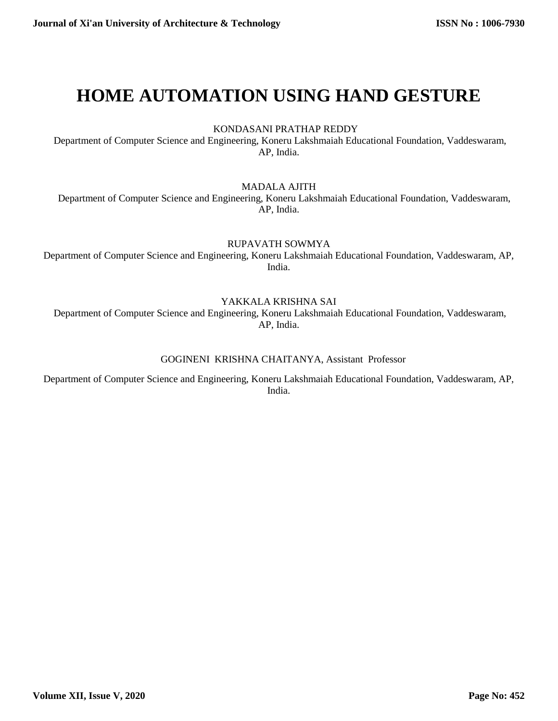# **HOME AUTOMATION USING HAND GESTURE**

KONDASANI PRATHAP REDDY

Department of Computer Science and Engineering, Koneru Lakshmaiah Educational Foundation, Vaddeswaram, AP, India.

MADALA AJITH

Department of Computer Science and Engineering, Koneru Lakshmaiah Educational Foundation, Vaddeswaram, AP, India.

RUPAVATH SOWMYA

Department of Computer Science and Engineering, Koneru Lakshmaiah Educational Foundation, Vaddeswaram, AP, India.

YAKKALA KRISHNA SAI

Department of Computer Science and Engineering, Koneru Lakshmaiah Educational Foundation, Vaddeswaram, AP, India.

#### GOGINENI KRISHNA CHAITANYA, Assistant Professor

Department of Computer Science and Engineering, Koneru Lakshmaiah Educational Foundation, Vaddeswaram, AP, India.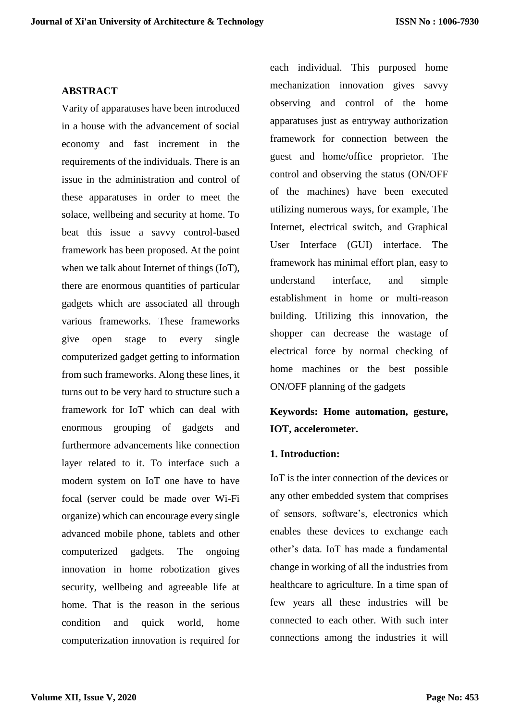## **ABSTRACT**

Varity of apparatuses have been introduced in a house with the advancement of social economy and fast increment in the requirements of the individuals. There is an issue in the administration and control of these apparatuses in order to meet the solace, wellbeing and security at home. To beat this issue a savvy control-based framework has been proposed. At the point when we talk about Internet of things (IoT), there are enormous quantities of particular gadgets which are associated all through various frameworks. These frameworks give open stage to every single computerized gadget getting to information from such frameworks. Along these lines, it turns out to be very hard to structure such a framework for IoT which can deal with enormous grouping of gadgets and furthermore advancements like connection layer related to it. To interface such a modern system on IoT one have to have focal (server could be made over Wi-Fi organize) which can encourage every single advanced mobile phone, tablets and other computerized gadgets. The ongoing innovation in home robotization gives security, wellbeing and agreeable life at home. That is the reason in the serious condition and quick world, home computerization innovation is required for each individual. This purposed home mechanization innovation gives savvy observing and control of the home apparatuses just as entryway authorization framework for connection between the guest and home/office proprietor. The control and observing the status (ON/OFF of the machines) have been executed utilizing numerous ways, for example, The Internet, electrical switch, and Graphical User Interface (GUI) interface. The framework has minimal effort plan, easy to understand interface, and simple establishment in home or multi-reason building. Utilizing this innovation, the shopper can decrease the wastage of electrical force by normal checking of home machines or the best possible ON/OFF planning of the gadgets

# **Keywords: Home automation, gesture, IOT, accelerometer.**

#### **1. Introduction:**

IoT is the inter connection of the devices or any other embedded system that comprises of sensors, software's, electronics which enables these devices to exchange each other's data. IoT has made a fundamental change in working of all the industries from healthcare to agriculture. In a time span of few years all these industries will be connected to each other. With such inter connections among the industries it will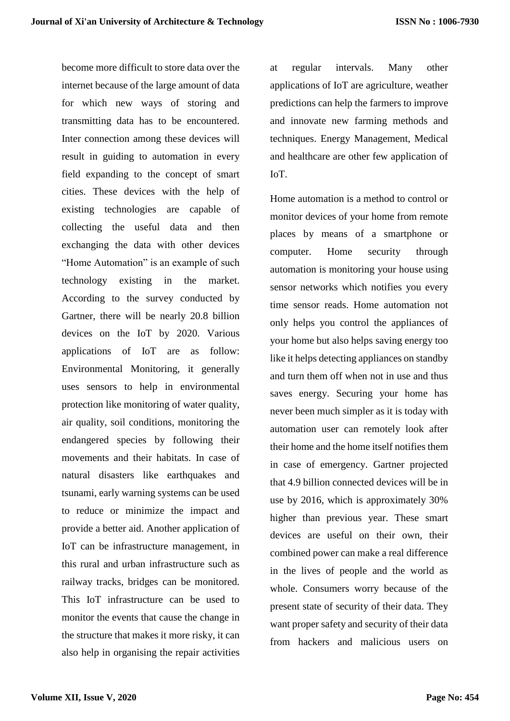become more difficult to store data over the internet because of the large amount of data for which new ways of storing and transmitting data has to be encountered. Inter connection among these devices will result in guiding to automation in every field expanding to the concept of smart cities. These devices with the help of existing technologies are capable of collecting the useful data and then exchanging the data with other devices "Home Automation" is an example of such technology existing in the market. According to the survey conducted by Gartner, there will be nearly 20.8 billion devices on the IoT by 2020. Various applications of IoT are as follow: Environmental Monitoring, it generally uses sensors to help in environmental protection like monitoring of water quality, air quality, soil conditions, monitoring the endangered species by following their movements and their habitats. In case of natural disasters like earthquakes and tsunami, early warning systems can be used to reduce or minimize the impact and provide a better aid. Another application of IoT can be infrastructure management, in this rural and urban infrastructure such as railway tracks, bridges can be monitored. This IoT infrastructure can be used to monitor the events that cause the change in the structure that makes it more risky, it can also help in organising the repair activities

at regular intervals. Many other applications of IoT are agriculture, weather predictions can help the farmers to improve and innovate new farming methods and techniques. Energy Management, Medical and healthcare are other few application of IoT.

Home automation is a method to control or monitor devices of your home from remote places by means of a smartphone or computer. Home security through automation is monitoring your house using sensor networks which notifies you every time sensor reads. Home automation not only helps you control the appliances of your home but also helps saving energy too like it helps detecting appliances on standby and turn them off when not in use and thus saves energy. Securing your home has never been much simpler as it is today with automation user can remotely look after their home and the home itself notifies them in case of emergency. Gartner projected that 4.9 billion connected devices will be in use by 2016, which is approximately 30% higher than previous year. These smart devices are useful on their own, their combined power can make a real difference in the lives of people and the world as whole. Consumers worry because of the present state of security of their data. They want proper safety and security of their data from hackers and malicious users on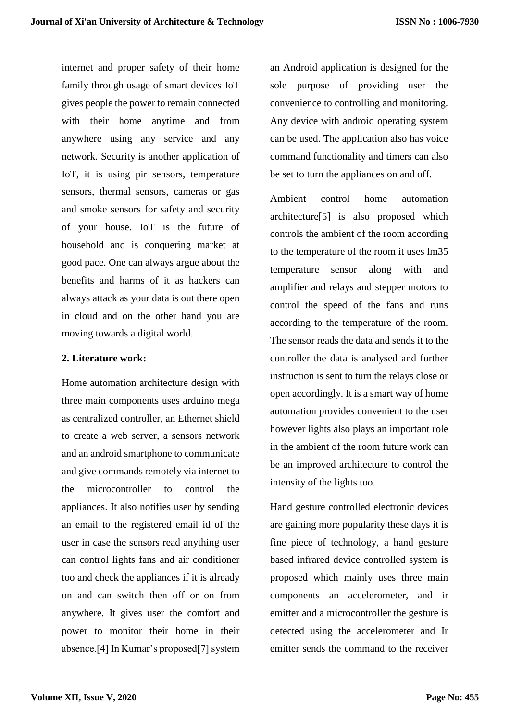internet and proper safety of their home family through usage of smart devices IoT gives people the power to remain connected with their home anytime and from anywhere using any service and any network. Security is another application of IoT, it is using pir sensors, temperature sensors, thermal sensors, cameras or gas and smoke sensors for safety and security of your house. IoT is the future of household and is conquering market at good pace. One can always argue about the benefits and harms of it as hackers can always attack as your data is out there open in cloud and on the other hand you are moving towards a digital world.

#### **2. Literature work:**

Home automation architecture design with three main components uses arduino mega as centralized controller, an Ethernet shield to create a web server, a sensors network and an android smartphone to communicate and give commands remotely via internet to the microcontroller to control the appliances. It also notifies user by sending an email to the registered email id of the user in case the sensors read anything user can control lights fans and air conditioner too and check the appliances if it is already on and can switch then off or on from anywhere. It gives user the comfort and power to monitor their home in their absence.[4] In Kumar's proposed[7] system an Android application is designed for the sole purpose of providing user the convenience to controlling and monitoring. Any device with android operating system can be used. The application also has voice command functionality and timers can also be set to turn the appliances on and off.

Ambient control home automation architecture[5] is also proposed which controls the ambient of the room according to the temperature of the room it uses lm35 temperature sensor along with and amplifier and relays and stepper motors to control the speed of the fans and runs according to the temperature of the room. The sensor reads the data and sends it to the controller the data is analysed and further instruction is sent to turn the relays close or open accordingly. It is a smart way of home automation provides convenient to the user however lights also plays an important role in the ambient of the room future work can be an improved architecture to control the intensity of the lights too.

Hand gesture controlled electronic devices are gaining more popularity these days it is fine piece of technology, a hand gesture based infrared device controlled system is proposed which mainly uses three main components an accelerometer, and ir emitter and a microcontroller the gesture is detected using the accelerometer and Ir emitter sends the command to the receiver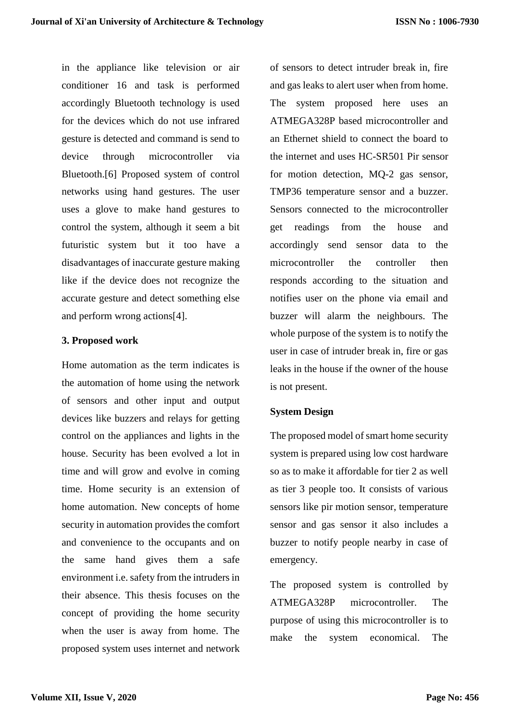in the appliance like television or air conditioner 16 and task is performed accordingly Bluetooth technology is used for the devices which do not use infrared gesture is detected and command is send to device through microcontroller via Bluetooth.[6] Proposed system of control networks using hand gestures. The user uses a glove to make hand gestures to control the system, although it seem a bit futuristic system but it too have a disadvantages of inaccurate gesture making like if the device does not recognize the accurate gesture and detect something else and perform wrong actions[4].

#### **3. Proposed work**

Home automation as the term indicates is the automation of home using the network of sensors and other input and output devices like buzzers and relays for getting control on the appliances and lights in the house. Security has been evolved a lot in time and will grow and evolve in coming time. Home security is an extension of home automation. New concepts of home security in automation provides the comfort and convenience to the occupants and on the same hand gives them a safe environment i.e. safety from the intruders in their absence. This thesis focuses on the concept of providing the home security when the user is away from home. The proposed system uses internet and network of sensors to detect intruder break in, fire and gas leaks to alert user when from home. The system proposed here uses an ATMEGA328P based microcontroller and an Ethernet shield to connect the board to the internet and uses HC-SR501 Pir sensor for motion detection, MQ-2 gas sensor, TMP36 temperature sensor and a buzzer. Sensors connected to the microcontroller get readings from the house and accordingly send sensor data to the microcontroller the controller then responds according to the situation and notifies user on the phone via email and buzzer will alarm the neighbours. The whole purpose of the system is to notify the user in case of intruder break in, fire or gas leaks in the house if the owner of the house is not present.

#### **System Design**

The proposed model of smart home security system is prepared using low cost hardware so as to make it affordable for tier 2 as well as tier 3 people too. It consists of various sensors like pir motion sensor, temperature sensor and gas sensor it also includes a buzzer to notify people nearby in case of emergency.

The proposed system is controlled by ATMEGA328P microcontroller. The purpose of using this microcontroller is to make the system economical. The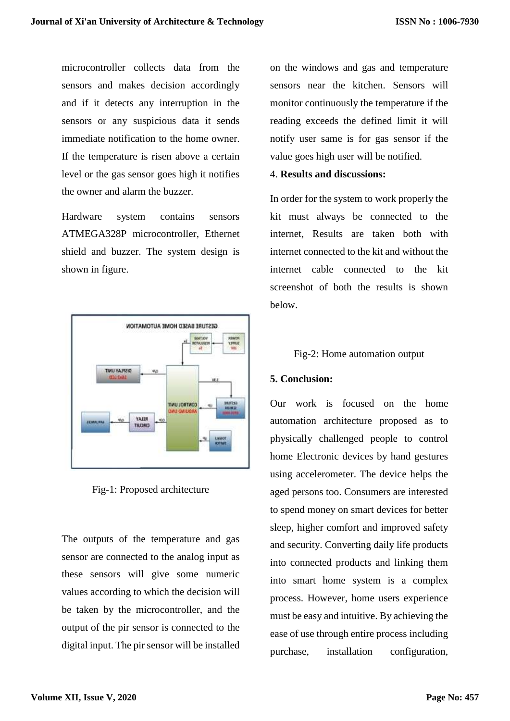microcontroller collects data from the sensors and makes decision accordingly and if it detects any interruption in the sensors or any suspicious data it sends immediate notification to the home owner. If the temperature is risen above a certain level or the gas sensor goes high it notifies the owner and alarm the buzzer.

Hardware system contains sensors ATMEGA328P microcontroller, Ethernet shield and buzzer. The system design is shown in figure.



Fig-1: Proposed architecture

The outputs of the temperature and gas sensor are connected to the analog input as these sensors will give some numeric values according to which the decision will be taken by the microcontroller, and the output of the pir sensor is connected to the digital input. The pir sensor will be installed

on the windows and gas and temperature sensors near the kitchen. Sensors will monitor continuously the temperature if the reading exceeds the defined limit it will notify user same is for gas sensor if the value goes high user will be notified.

# 4. **Results and discussions:**

In order for the system to work properly the kit must always be connected to the internet, Results are taken both with internet connected to the kit and without the internet cable connected to the kit screenshot of both the results is shown below.

## Fig-2: Home automation output

#### **5. Conclusion:**

Our work is focused on the home automation architecture proposed as to physically challenged people to control home Electronic devices by hand gestures using accelerometer. The device helps the aged persons too. Consumers are interested to spend money on smart devices for better sleep, higher comfort and improved safety and security. Converting daily life products into connected products and linking them into smart home system is a complex process. However, home users experience must be easy and intuitive. By achieving the ease of use through entire process including purchase, installation configuration,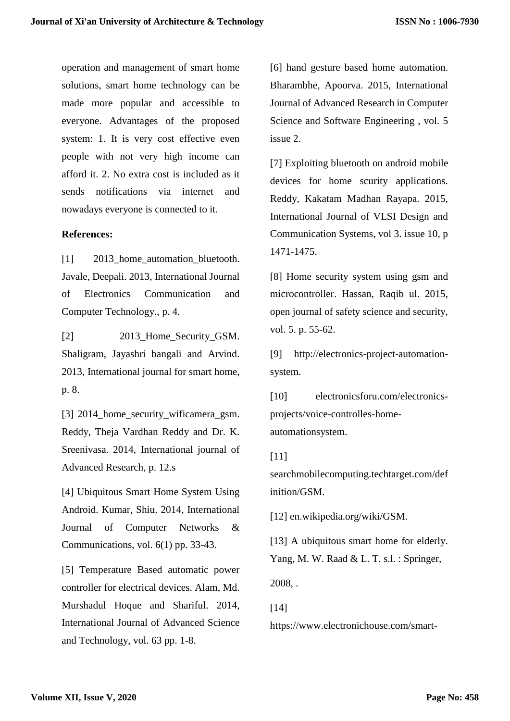operation and management of smart home solutions, smart home technology can be made more popular and accessible to everyone. Advantages of the proposed system: 1. It is very cost effective even people with not very high income can afford it. 2. No extra cost is included as it sends notifications via internet and nowadays everyone is connected to it.

#### **References:**

[1] 2013 home automation bluetooth. Javale, Deepali. 2013, International Journal of Electronics Communication and Computer Technology., p. 4.

[2] 2013 Home Security GSM. Shaligram, Jayashri bangali and Arvind. 2013, International journal for smart home, p. 8.

[3] 2014 home security wificamera gsm. Reddy, Theja Vardhan Reddy and Dr. K. Sreenivasa. 2014, International journal of Advanced Research, p. 12.s

[4] Ubiquitous Smart Home System Using Android. Kumar, Shiu. 2014, International Journal of Computer Networks & Communications, vol. 6(1) pp. 33-43.

[5] Temperature Based automatic power controller for electrical devices. Alam, Md. Murshadul Hoque and Shariful. 2014, International Journal of Advanced Science and Technology, vol. 63 pp. 1-8.

[6] hand gesture based home automation. Bharambhe, Apoorva. 2015, International Journal of Advanced Research in Computer Science and Software Engineering , vol. 5 issue 2.

[7] Exploiting bluetooth on android mobile devices for home scurity applications. Reddy, Kakatam Madhan Rayapa. 2015, International Journal of VLSI Design and Communication Systems, vol 3. issue 10, p 1471-1475.

[8] Home security system using gsm and microcontroller. Hassan, Raqib ul. 2015, open journal of safety science and security, vol. 5. p. 55-62.

[9] http://electronics-project-automationsystem.

[10] electronicsforu.com/electronicsprojects/voice-controlles-homeautomationsystem.

#### [11]

searchmobilecomputing.techtarget.com/def inition/GSM.

[12] en.wikipedia.org/wiki/GSM.

[13] A ubiquitous smart home for elderly. Yang, M. W. Raad & L. T. s.l. : Springer, 2008, .

# [14]

https://www.electronichouse.com/smart-